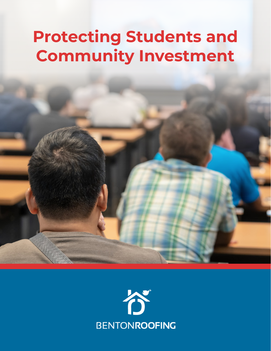# **Protecting Students and Community Investment**

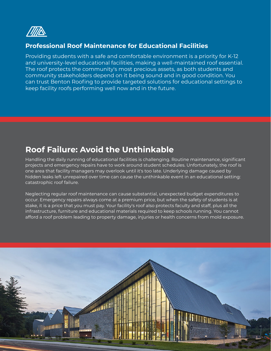

#### **Professional Roof Maintenance for Educational Facilities**

Providing students with a safe and comfortable environment is a priority for K-12 and university-level educational facilities, making a well-maintained roof essential. The roof protects the community's most precious assets, as both students and community stakeholders depend on it being sound and in good condition. You can trust Benton Roofing to provide targeted solutions for educational settings to keep facility roofs performing well now and in the future.

#### **Roof Failure: Avoid the Unthinkable**

Handling the daily running of educational facilities is challenging. Routine maintenance, significant projects and emergency repairs have to work around student schedules. Unfortunately, the roof is one area that facility managers may overlook until it's too late. Underlying damage caused by hidden leaks left unrepaired over time can cause the unthinkable event in an educational setting: catastrophic roof failure.

Neglecting regular roof maintenance can cause substantial, unexpected budget expenditures to occur. Emergency repairs always come at a premium price, but when the safety of students is at stake, it is a price that you must pay. Your facility's roof also protects faculty and staff, plus all the infrastructure, furniture and educational materials required to keep schools running. You cannot afford a roof problem leading to property damage, injuries or health concerns from mold exposure.

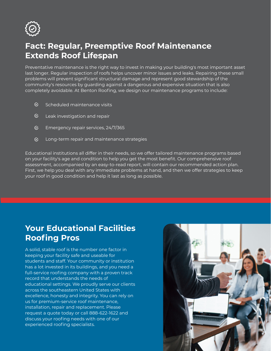

### **Fact: Regular, Preemptive Roof Maintenance Extends Roof Lifespan**

Preventative maintenance is the right way to invest in making your building's most important asset last longer. Regular inspection of roofs helps uncover minor issues and leaks. Repairing these small problems will prevent significant structural damage and represent good stewardship of the community's resources by guarding against a dangerous and expensive situation that is also completely avoidable. At Benton Roofing, we design our maintenance programs to include:

- $\mathcal{C}_{\mathcal{F}}$ Scheduled maintenance visits
- $\otimes$ Leak investigation and repair
- $\varnothing$ Emergency repair services, 24/7/365
- $\otimes$ Long-term repair and maintenance strategies

Educational institutions all differ in their needs, so we offer tailored maintenance programs based on your facility's age and condition to help you get the most benefit. Our comprehensive roof assessment, accompanied by an easy-to-read report, will contain our recommended action plan. First, we help you deal with any immediate problems at hand, and then we offer strategies to keep your roof in good condition and help it last as long as possible.

## **Your Educational Facilities Roofing Pros**

A solid, stable roof is the number one factor in keeping your facility safe and useable for students and staff. Your community or institution has a lot invested in its buildings, and you need a full-service roofing company with a proven track record that understands the needs of educational settings. We proudly serve our clients across the southeastern United States with excellence, honesty and integrity. You can rely on us for premium-service roof maintenance, installation, repair and replacement. Please request a quote today or call 888-622-1622 and discuss your roofing needs with one of our experienced roofing specialists.